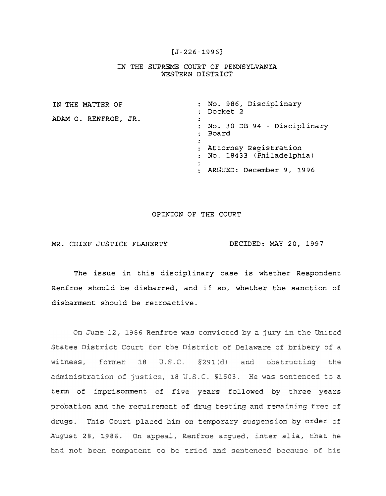## [J-226-1996]

## IN THE SUPREME COURT OF PENNSYLVANIA WESTERN DISTRICT

| IN THE MATTER OF     | : No. 986, Disciplinary<br>: Docket 2                                                                                           |
|----------------------|---------------------------------------------------------------------------------------------------------------------------------|
| ADAM O. RENFROE, JR. | : No. 30 DB 94 - Disciplinary<br>: Board<br>: Attorney Registration<br>: No. 18433 (Philadelphia)<br>: ARGUED: December 9, 1996 |
|                      |                                                                                                                                 |

## OPINION OF THE COURT

## MR. CHIEF JUSTICE FLAHERTY DECIDED: MAY 20, 1997

The issue in this disciplinary case is whether Respondent Renfroe should be disbarred, and if so, whether the sanction of disbarment should be retroactive.

On June 12, 1986 Renfroe was convicted by a jury in the United States District Court for the District of Delaware of bribery of a witness, former 18 U.S.C. §291(d) and obstructing the administration of justice, 18 U.S.C. §1503. He was sentenced to a term of imprisonment of five years followed by three years probation and the requirement of drug testing and remaining free of drugs. This Court placed him on temporary suspension by order of August 28, 1986. On appeal, Renfroe argued, inter alia, that he had not been competent to be tried and sentenced because of his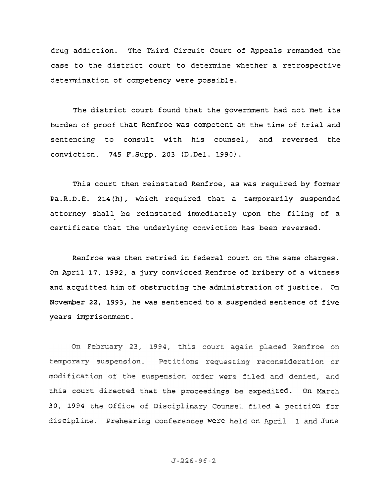drug addiction. The Third Circuit Court of Appeals remanded the case to the district court to determine whether a retrospective determination of competency were possible.

The district court found that the government had not met its burden of proof that Renfroe was competent at the time of trial and sentencing to consult with his counsel, and reversed the conviction. 745 F.Supp. 203 (D.Del. 1990).

This court then reinstated Renfroe, as was required by former Pa.R.D.E. 214 (h), which required that a temporarily suspended attorney shall **be** reinstated immediately upon the filing of **a** certificate that the underlying conviction has been reversed.

Renfroe was then retried in federal court on the same charges. On April 17, 1992, a jury convicted Renfroe of bribery of a witness and acquitted him of obstructing the administration of justice. On November 22, 1993, he was sentenced to a suspended sentence of five years imprisonment.

On February 23, 1994, this court again placed Renfroe on temporary suspension. Petitions requesting reconsideration or modification of the suspension order were filed and denied, and this court directed that the proceedings be expedited. On March 30, 1994 the Office of Disciplinary Counsel filed a petition cipline. Prehearing conferences were held on April 1 and June 2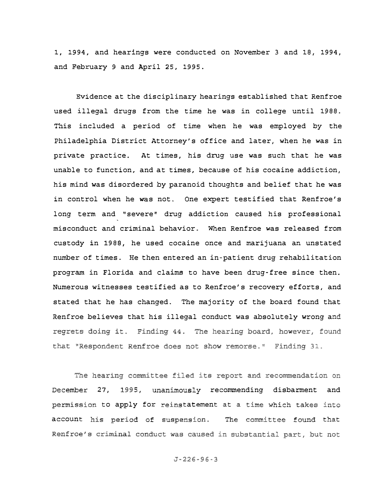1, 1994, and hearings were conducted on November 3 and 18, 1994, and February 9 and April 25, 1995.

Evidence at the disciplinary hearings established that Renfroe used illegal drugs from the time he was in college until 1988. This included a period of time when he was employed by the Philadelphia District Attorney's office and later, when he was in private practice. At times, his drug use was such that he was unable to function, and at times, because of his cocaine addiction, his mind was disordered by paranoid thoughts and belief that he was in control when he was not. One expert testified that Renfroe's long term and "severe" drug addiction caused his professional misconduct and criminal behavior. When Renfroe was released from custody in 1989, he used cocaine once and marijuana an unstated number of times. He then entered an in-patient drug rehabilitation program in Florida and claims to have been drug-free since then. Numerous witnesses testified as to Renfroe's recovery efforts, and stated that he has changed. The majority of the board found that Renfroe believes that his illegal conduct was absolutely wrong and regrets doing it. Finding 44. The hearing board, however, found that "Respondent Renfroe does not show remorse." Finding 31.

The hearing committee filed its report and recommendation on 27, 1995, unanimously recommending disbarment and to apply for reinstatement at a account his period of suspension. The committee found that Renfroe's criminal conduct was caused in substantial part, but not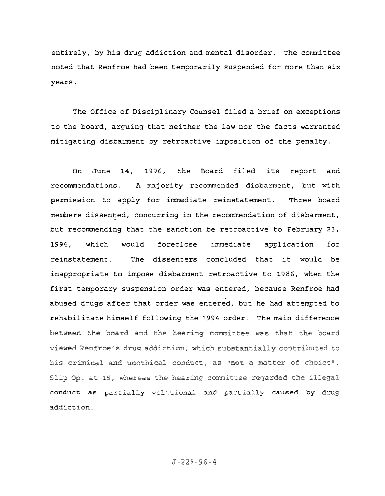entirely, by his drug addiction and mental disorder. The committee noted that Renfroe had been temporarily suspended for more than six years.

The Office of Disciplinary Counsel filed a brief on exceptions to the board, arguing that neither the law nor the facts warranted mitigating disbarment by retroactive imposition of the penalty.

On June 14, 1996, the Board filed its report and recommendations. A majority recommended disbarment, but with permission to apply for immediate reinstatement. Three board members dissented, concurring in the recommendation of disbarment, but recommending that the sanction be retroactive to February 23, 1994, which would foreclose immediate application for reinstatement. The dissenters concluded that it would be inappropriate to impose disbarment retroactive to 1986, when the first temporary suspension order was entered, because Renfroe had abused drugs after that order was entered, but he had attempted to rehabilitate himself following the 1994 order. The main difference between the board and the hearing committee was that the board viewed Renfroe's drug addiction, which substantially contributed to his criminal and unethical conduct, as "not a matter of choice", Slip Op. at 15, whereas the hearing committee regarded the illegal conduct as partially volitional and partially caused by drug addiction.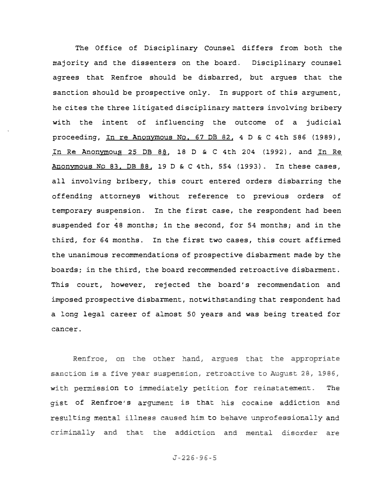The Office of Disciplinary Counsel differs from both the majority and the dissenters on the board. Disciplinary counsel agrees that Renfroe should be disbarred, but argues that the sanction should be prospective only. In support of this argument, he cites the three litigated disciplinary matters involving bribery with the intent of influencing the outcome of a judicial proceeding, In re Anonymous No. 67 DB 82, 4 D & c 4th 586 (1989), In Re Anonymous 25 DB 88, 18 D & C 4th 204 (1992), and In Re Anonymous No 83. DB 88, 19 D & C 4th, 554 (1993). In these cases, all involving bribery, this court entered orders disbarring the offending attorneys without reference to previous orders of temporary suspension. In the first case, the respondent had been suspended for 48 months; in the second, for 54 months; and in the third, for 64 months. In the first two cases, this court affirmed the unanimous recommendations of prospective disbarment made by the boards; in the third, the board recommended retroactive disbarment. This court, however, rejected the board's recommendation and imposed prospective disbarment, notwithstanding that respondent had a long legal career of almost 50 years and was being treated for cancer.

Renfroe, on the other hand, argues that the appropriate sanction is a five year suspension, retroactive to August 28, 1986, The on to immediately peti t of Renfroe's argument is that ting mental illness caused him to behave unprofessionally and criminally and that the addiction and mental disorder are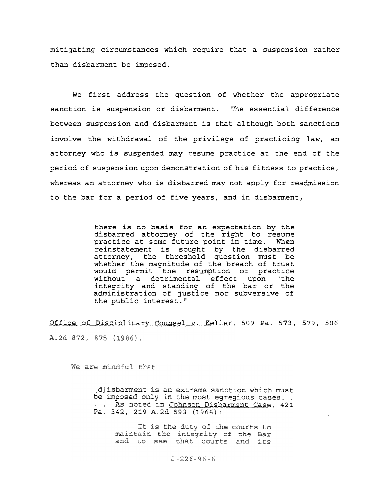mitigating circumstances which require that a suspension rather than disbarment be imposed.

We first address the question of whether the appropriate sanction is suspension or disbarment. The essential difference between suspension and disbarment is that although both sanctions involve the withdrawal of the privilege of practicing law, an attorney who is suspended may resume practice at the end of the period of suspension upon demonstration of his fitness to practice, whereas an attorney who is disbarred may not apply for readmission to the bar for a period of five years, and in disbarment,

> there is no basis for an expectation by the disbarred attorney of the right to resume practice at some future point in time. When reinstatement is sought by the disbarred attorney, the threshold question must be whether the magnitude of the breach of trust would permit the resumption of practice without a detrimental effect upon "the integrity and standing of the bar or the administration of justice nor subversive of the public interest."

Office of Disciplinary Counsel v. Keller, 509 Pa. 573, 579, 506 A.2d 872, 875 (1986).

We are mindful that

[d] isbarment is an extreme sanction which must be imposed only in the most egregious cases.. . . As noted in Johnson Disbarment Case, 421 Pa. 342, 219 A.2d 593 (1966):

> It is the duty of the courts to maintain the integrity of the Bar and to see that courts and its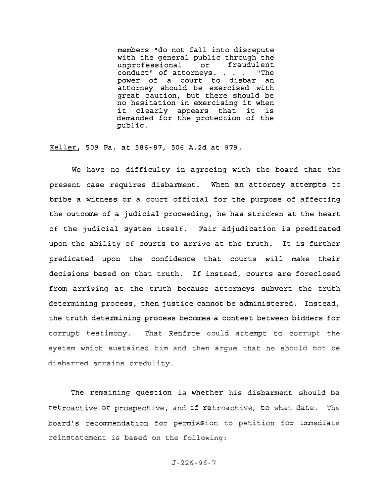members "do not fall into disrepute with the general public through the<br>unprofessional or fraudulent unprofessional or fraudulent conduct" of attorneys. . . . "The power of a court to disbar an attorney should be exercised with great caution, but there should be no hesitation in exercising it when<br>it clearly appears that it is clearly appears that it is demanded for the protection of the public.

Keller, 509 Pa. at 586-87, 506 A.2d at 879.

We have no difficulty in agreeing with the board that the present case requires disbarment. When an attorney attempts to bribe a witness or a court official for the purpose of affecting the outcome of a judicial proceeding, he has stricken at the heart of the judicial system itself. Fair adjudication is predicated upon the ability of courts to arrive at the truth. It is further predicated upon the confidence that courts will make their decisions based on that truth. If instead, courts are foreclosed from arriving at the truth because attorneys subvert the truth determining process, then justice cannot be administered. Instead, the truth determining process becomes a contest between bidders for corrupt testimony. That Renfroe could attempt to corrupt the system which sustained him and then argue that he should not be disbarred strains credulity.

The remaining question is whether his disbarment should be retroactive or prospective, and if retroactive, to what date. The board's recommendation for permission to petition for immediate reinstatement is based on the following: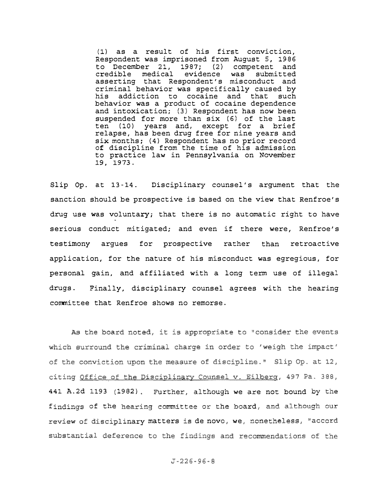(l) as a result of his first conviction, Respondent was imprisoned from August 5, 1986 to December 21, 1987; (2) competent and<br>credible medical evidence was submitted credible medical evidence was submitted asserting that Respondent's misconduct and criminal behavior was specifically caused by<br>his addiction to cocaine and that such addiction to cocaine and that such behavior was a product of cocaine dependence and intoxication; (3) Respondent has now been suspended for more than six (6) of the last<br>ten (10) years and, except for a brief (10) years and, except for a brief relapse, has been drug free for nine years and six months; (4) Respondent has no prior record of discipline from the time of his admission to practice law in Pennsylvania on November 19, 1973.

Slip Op. at 13-14. Disciplinary counsel's argument that the sanction should be prospective is based on the view that Renfroe's drug use was voluntary; that there is no automatic right to have serious conduct mitigated; and even if there were, Renfroe's testimony argues for prospective rather than retroactive application, for the nature of his misconduct was egregious, for personal gain, and affiliated with a long term use of illegal drugs. Finally, disciplinary counsel agrees with the hearing committee that Renfroe shows no remorse.

As the board noted, it is appropriate to "consider the events which surround the criminal charge in order to 'weigh the impact' of the conviction upon the measure of discipline." Slip Op. at 12, citing Office of the Disciplinary Counsel v. Eilberg, 497 Pa. 388, 441 A.2d 1193 (1982). Further, although we are not bound by the findings of the hearing committee or the board, and although our review of disciplinary matters is de novo, we, nonetheless, "accord substantial deference to the findings and recommendations of the